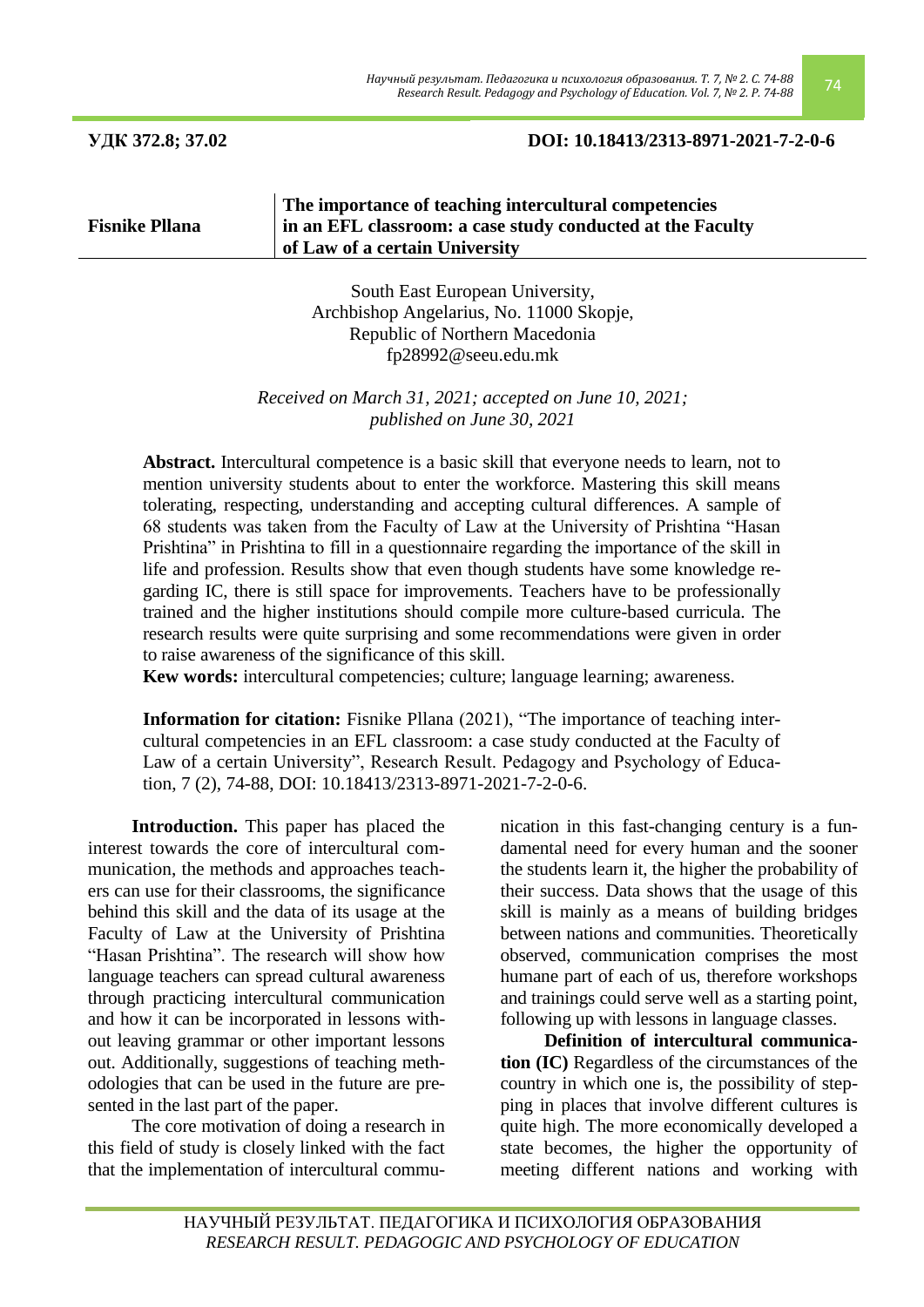**Fisnike Pllana**

**УДК 372.8; 37.02 DOI: 10.18413/2313-8971-2021-7-2-0-6**

## **The importance of teaching intercultural competencies in an EFL classroom: a case study conducted at the Faculty of Law of a certain University**

South East European University, Archbishop Angelarius, No. 11000 Skopje, Republic of Northern Macedonia [fp28992@seeu.edu.mk](mailto:fp28992@seeu.edu.mk)

*Received on March 31, 2021; accepted on June 10, 2021; published on June 30, 2021*

**Abstract.** Intercultural competence is a basic skill that everyone needs to learn, not to mention university students about to enter the workforce. Mastering this skill means tolerating, respecting, understanding and accepting cultural differences. A sample of 68 students was taken from the Faculty of Law at the University of Prishtina "Hasan Prishtina" in Prishtina to fill in a questionnaire regarding the importance of the skill in life and profession. Results show that even though students have some knowledge regarding IC, there is still space for improvements. Teachers have to be professionally trained and the higher institutions should compile more culture-based curricula. The research results were quite surprising and some recommendations were given in order to raise awareness of the significance of this skill.

**Kew words:** intercultural competencies; culture; language learning; awareness.

**Information for citation:** Fisnike Pllana (2021), "The importance of teaching intercultural competencies in an EFL classroom: a case study conducted at the Faculty of Law of a certain University", Research Result. Pedagogy and Psychology of Education, 7 (2), 74-88, DOI: 10.18413/2313-8971-2021-7-2-0-6.

**Introduction.** This paper has placed the interest towards the core of intercultural communication, the methods and approaches teachers can use for their classrooms, the significance behind this skill and the data of its usage at the Faculty of Law at the University of Prishtina "Hasan Prishtina". The research will show how language teachers can spread cultural awareness through practicing intercultural communication and how it can be incorporated in lessons without leaving grammar or other important lessons out. Additionally, suggestions of teaching methodologies that can be used in the future are presented in the last part of the paper.

The core motivation of doing a research in this field of study is closely linked with the fact that the implementation of intercultural communication in this fast-changing century is a fundamental need for every human and the sooner the students learn it, the higher the probability of their success. Data shows that the usage of this skill is mainly as a means of building bridges between nations and communities. Theoretically observed, communication comprises the most humane part of each of us, therefore workshops and trainings could serve well as a starting point, following up with lessons in language classes.

**Definition of intercultural communication (IC)** Regardless of the circumstances of the country in which one is, the possibility of stepping in places that involve different cultures is quite high. The more economically developed a state becomes, the higher the opportunity of meeting different nations and working with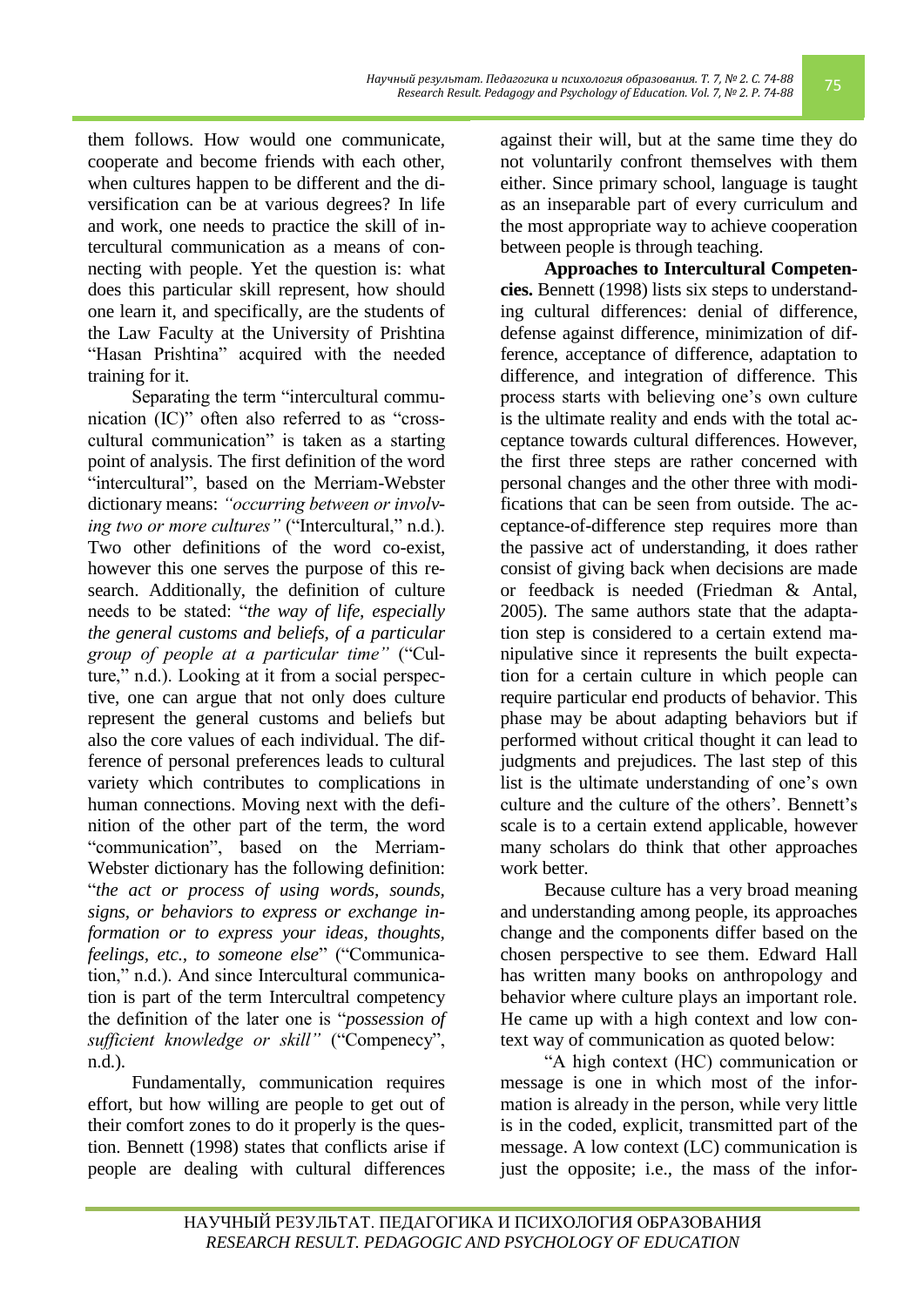Because culture has a very broad meaning and understanding among people, its approaches change and the components differ based on the chosen perspective to see them. Edward Hall has written many books on anthropology and behavior where culture plays an important role. He came up with a high context and low con-

message. A low context (LC) communication is just the opposite; i.e., the mass of the infor-

2005). The same authors state that the adaptation step is considered to a certain extend manipulative since it represents the built expectation for a certain culture in which people can require particular end products of behavior. This phase may be about adapting behaviors but if performed without critical thought it can lead to judgments and prejudices. The last step of this list is the ultimate understanding of one's own culture and the culture of the others'. Bennett's scale is to a certain extend applicable, however many scholars do think that other approaches work better.

against their will, but at the same time they do not voluntarily confront themselves with them either. Since primary school, language is taught

as an inseparable part of every curriculum and the most appropriate way to achieve cooperation between people is through teaching. **Approaches to Intercultural Competencies.** Bennett (1998) lists six steps to understanding cultural differences: denial of difference, defense against difference, minimization of difference, acceptance of difference, adaptation to difference, and integration of difference. This process starts with believing one's own culture is the ultimate reality and ends with the total acceptance towards cultural differences. However, the first three steps are rather concerned with personal changes and the other three with modifications that can be seen from outside. The acceptance-of-difference step requires more than the passive act of understanding, it does rather consist of giving back when decisions are made or feedback is needed (Friedman & Antal,

necting with people. Yet the question is: what does this particular skill represent, how should one learn it, and specifically, are the students of the Law Faculty at the University of Prishtina "Hasan Prishtina" acquired with the needed Separating the term "intercultural commu-

nication  $(IC)$ " often also referred to as "crosscultural communication" is taken as a starting point of analysis. The first definition of the word "intercultural", based on the Merriam-Webster dictionary means: *"occurring between or involving two or more cultures*" ("Intercultural," n.d.). Two other definitions of the word co-exist, however this one serves the purpose of this research. Additionally, the definition of culture needs to be stated: "*the way of life, especially the general customs and beliefs, of a particular*  group of people at a particular time" ("Culture," n.d.). Looking at it from a social perspective, one can argue that not only does culture represent the general customs and beliefs but also the core values of each individual. The difference of personal preferences leads to cultural variety which contributes to complications in human connections. Moving next with the definition of the other part of the term, the word "communication", based on the Merriam-Webster dictionary has the following definition: ―*the act or process of using words, sounds, signs, or behaviors to express or exchange information or to express your ideas, thoughts, feelings, etc., to someone else*" ("Communication," n.d.). And since Intercultural communication is part of the term Intercultral competency the definition of the later one is "*possession of* sufficient knowledge or skill" ("Compenecy", n.d.).

them follows. How would one communicate, cooperate and become friends with each other, when cultures happen to be different and the diversification can be at various degrees? In life and work, one needs to practice the skill of intercultural communication as a means of con-

training for it.

Fundamentally, communication requires effort, but how willing are people to get out of their comfort zones to do it properly is the question. Bennett (1998) states that conflicts arise if people are dealing with cultural differences

*Научный результат. Педагогика и психология образования. Т. 7, № 2. С. 74-88 Research Result. Pedagogy and Psychology of Education. Vol. 7, № 2. P. 74-88* 75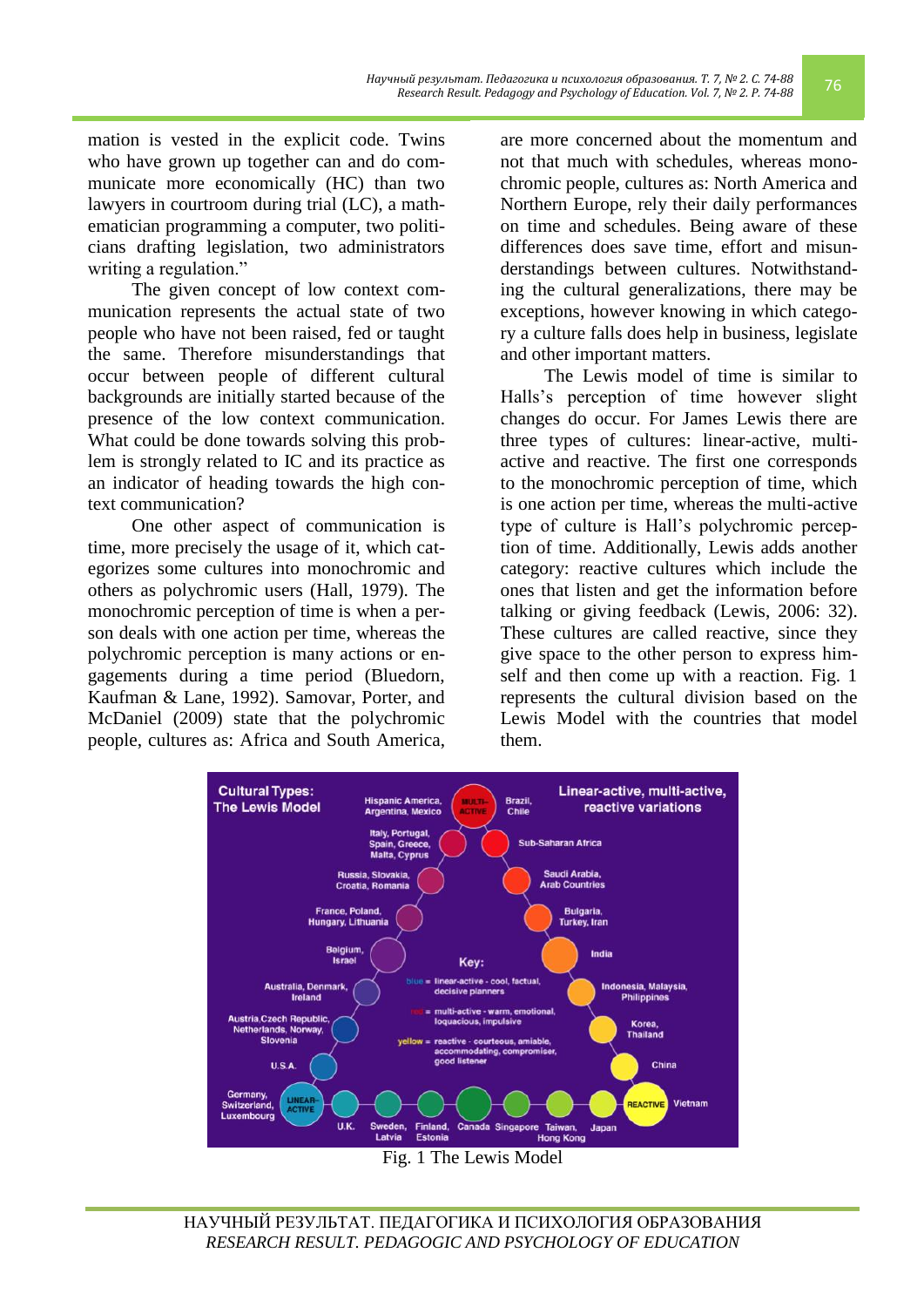mation is vested in the explicit code. Twins who have grown up together can and do communicate more economically (HC) than two lawyers in courtroom during trial (LC), a mathematician programming a computer, two politicians drafting legislation, two administrators writing a regulation."

The given concept of low context communication represents the actual state of two people who have not been raised, fed or taught the same. Therefore misunderstandings that occur between people of different cultural backgrounds are initially started because of the presence of the low context communication. What could be done towards solving this problem is strongly related to IC and its practice as an indicator of heading towards the high context communication?

One other aspect of communication is time, more precisely the usage of it, which categorizes some cultures into monochromic and others as polychromic users (Hall, 1979). The monochromic perception of time is when a person deals with one action per time, whereas the polychromic perception is many actions or engagements during a time period (Bluedorn, Kaufman & Lane, 1992). Samovar, Porter, and McDaniel (2009) state that the polychromic people, cultures as: Africa and South America,

are more concerned about the momentum and not that much with schedules, whereas monochromic people, cultures as: North America and Northern Europe, rely their daily performances on time and schedules. Being aware of these differences does save time, effort and misunderstandings between cultures. Notwithstanding the cultural generalizations, there may be exceptions, however knowing in which category a culture falls does help in business, legislate and other important matters.

The Lewis model of time is similar to Halls's perception of time however slight changes do occur. For James Lewis there are three types of cultures: linear-active, multiactive and reactive. The first one corresponds to the monochromic perception of time, which is one action per time, whereas the multi-active type of culture is Hall's polychromic perception of time. Additionally, Lewis adds another category: reactive cultures which include the ones that listen and get the information before talking or giving feedback (Lewis, 2006: 32). These cultures are called reactive, since they give space to the other person to express himself and then come up with a reaction. Fig. 1 represents the cultural division based on the Lewis Model with the countries that model them.



Fig. 1 The Lewis Model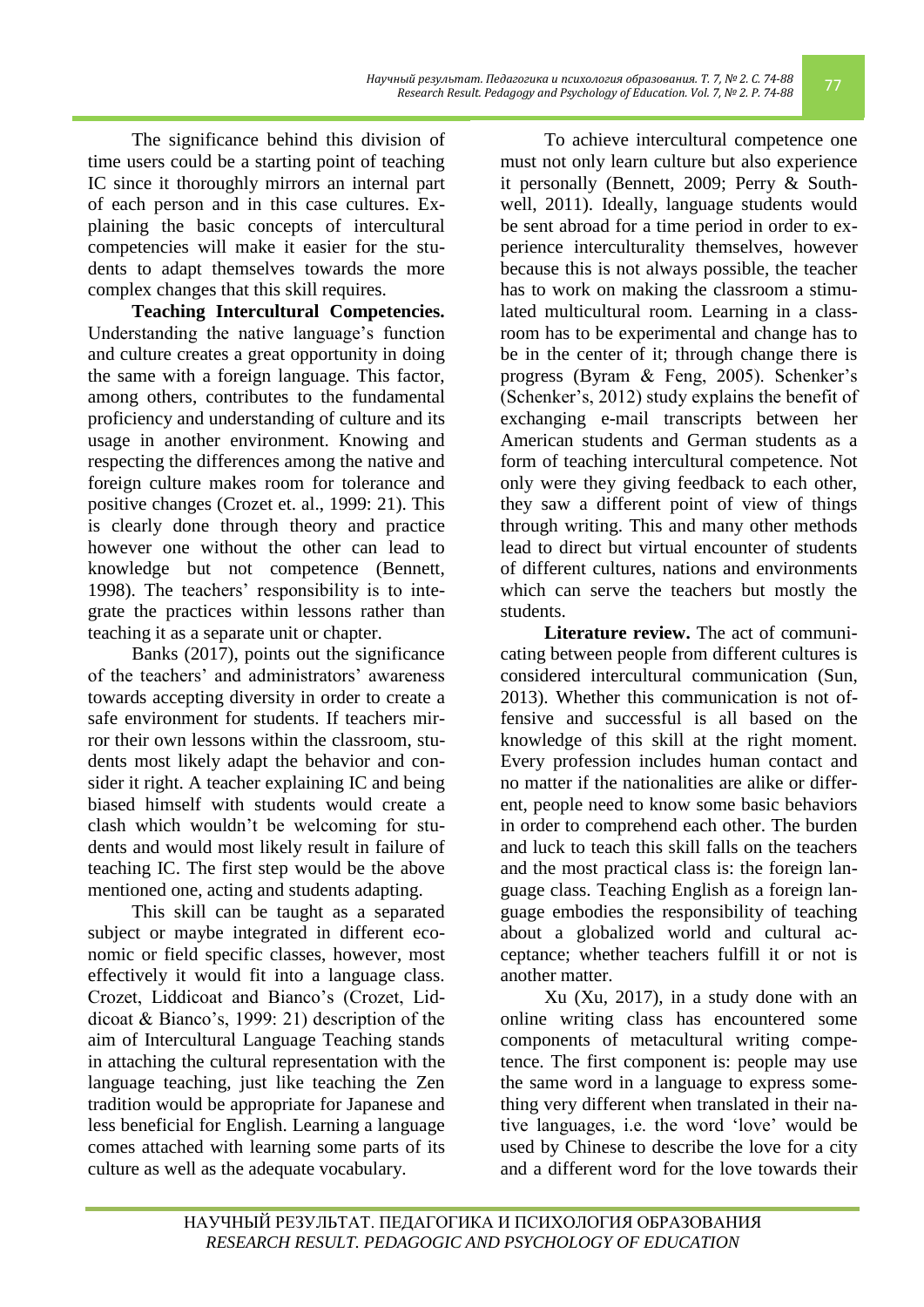*Научный результат. Педагогика и психология образования. Т. 7, № 2. С. 74-88 Research Result. Pedagogy and Psychology of Education. Vol. 7, № 2. C. 74-88* 77<br>Research Result. Pedagogy and Psychology of Education. Vol. 7, № 2. P. 74-88

The significance behind this division of time users could be a starting point of teaching IC since it thoroughly mirrors an internal part of each person and in this case cultures. Explaining the basic concepts of intercultural competencies will make it easier for the students to adapt themselves towards the more complex changes that this skill requires.

**Teaching Intercultural Competencies.**  Understanding the native language's function and culture creates a great opportunity in doing the same with a foreign language. This factor, among others, contributes to the fundamental proficiency and understanding of culture and its usage in another environment. Knowing and respecting the differences among the native and foreign culture makes room for tolerance and positive changes (Crozet et. al., 1999: 21). This is clearly done through theory and practice however one without the other can lead to knowledge but not competence (Bennett, 1998). The teachers' responsibility is to integrate the practices within lessons rather than teaching it as a separate unit or chapter.

Banks (2017), points out the significance of the teachers' and administrators' awareness towards accepting diversity in order to create a safe environment for students. If teachers mirror their own lessons within the classroom, students most likely adapt the behavior and consider it right. A teacher explaining IC and being biased himself with students would create a clash which wouldn't be welcoming for students and would most likely result in failure of teaching IC. The first step would be the above mentioned one, acting and students adapting.

This skill can be taught as a separated subject or maybe integrated in different economic or field specific classes, however, most effectively it would fit into a language class. Crozet, Liddicoat and Bianco's (Crozet, Liddicoat & Bianco's, 1999: 21) description of the aim of Intercultural Language Teaching stands in attaching the cultural representation with the language teaching, just like teaching the Zen tradition would be appropriate for Japanese and less beneficial for English. Learning a language comes attached with learning some parts of its culture as well as the adequate vocabulary.

To achieve intercultural competence one must not only learn culture but also experience it personally (Bennett, 2009; Perry & Southwell, 2011). Ideally, language students would be sent abroad for a time period in order to experience interculturality themselves, however because this is not always possible, the teacher has to work on making the classroom a stimulated multicultural room. Learning in a classroom has to be experimental and change has to be in the center of it; through change there is progress (Byram & Feng, 2005). Schenker's (Schenker's, 2012) study explains the benefit of exchanging e-mail transcripts between her American students and German students as a form of teaching intercultural competence. Not only were they giving feedback to each other, they saw a different point of view of things through writing. This and many other methods lead to direct but virtual encounter of students of different cultures, nations and environments which can serve the teachers but mostly the students.

**Literature review.** The act of communicating between people from different cultures is considered intercultural communication (Sun, 2013). Whether this communication is not offensive and successful is all based on the knowledge of this skill at the right moment. Every profession includes human contact and no matter if the nationalities are alike or different, people need to know some basic behaviors in order to comprehend each other. The burden and luck to teach this skill falls on the teachers and the most practical class is: the foreign language class. Teaching English as a foreign language embodies the responsibility of teaching about a globalized world and cultural acceptance; whether teachers fulfill it or not is another matter.

Xu (Xu, 2017), in a study done with an online writing class has encountered some components of metacultural writing competence. The first component is: people may use the same word in a language to express something very different when translated in their native languages, i.e. the word 'love' would be used by Chinese to describe the love for a city and a different word for the love towards their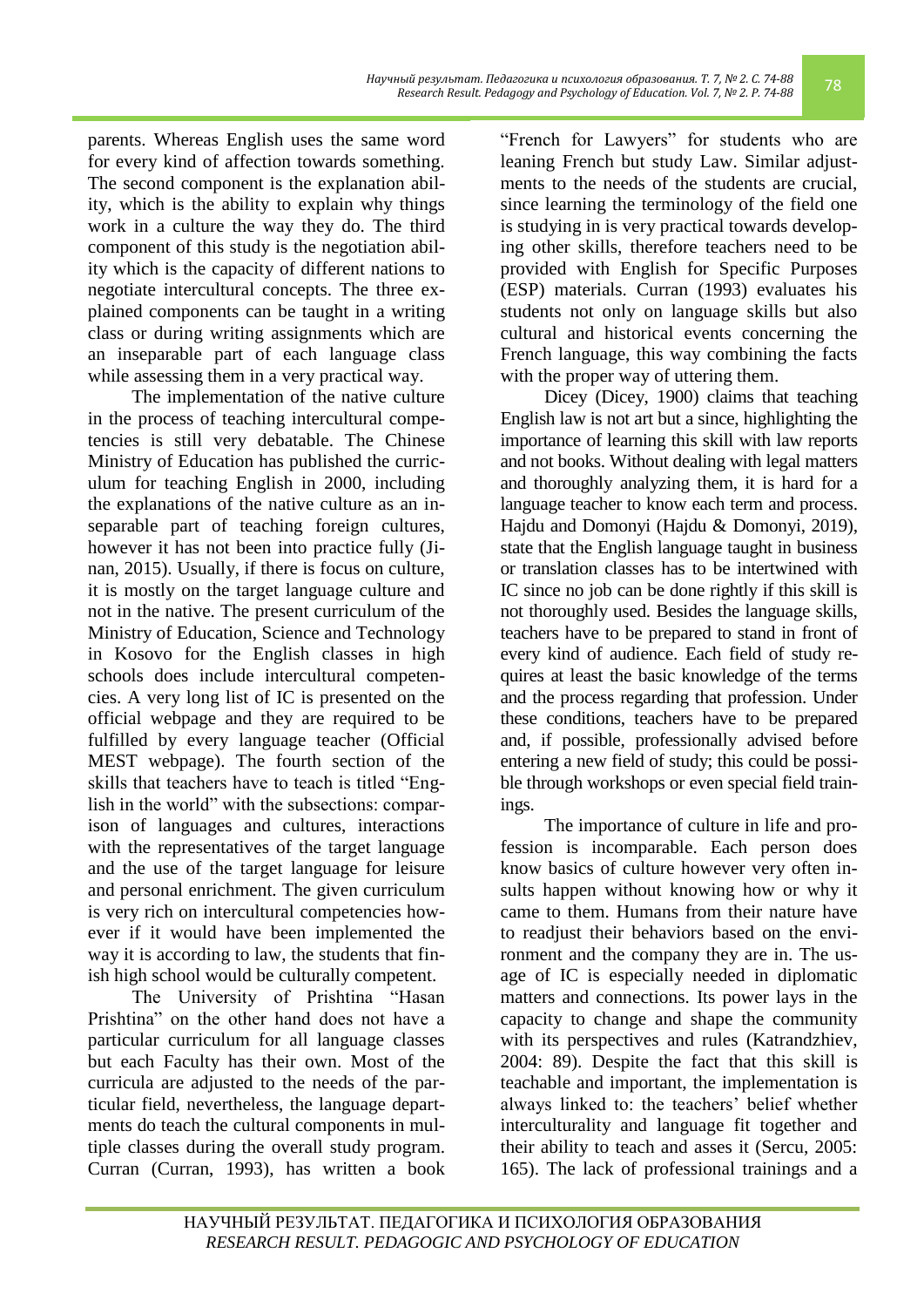parents. Whereas English uses the same word for every kind of affection towards something. The second component is the explanation ability, which is the ability to explain why things work in a culture the way they do. The third component of this study is the negotiation ability which is the capacity of different nations to negotiate intercultural concepts. The three explained components can be taught in a writing class or during writing assignments which are an inseparable part of each language class while assessing them in a very practical way.

The implementation of the native culture in the process of teaching intercultural competencies is still very debatable. The Chinese Ministry of Education has published the curriculum for teaching English in 2000, including the explanations of the native culture as an inseparable part of teaching foreign cultures, however it has not been into practice fully (Jinan, 2015). Usually, if there is focus on culture, it is mostly on the target language culture and not in the native. The present curriculum of the Ministry of Education, Science and Technology in Kosovo for the English classes in high schools does include intercultural competencies. A very long list of IC is presented on the official webpage and they are required to be fulfilled by every language teacher (Official MEST webpage). The fourth section of the skills that teachers have to teach is titled "English in the world" with the subsections: comparison of languages and cultures, interactions with the representatives of the target language and the use of the target language for leisure and personal enrichment. The given curriculum is very rich on intercultural competencies however if it would have been implemented the way it is according to law, the students that finish high school would be culturally competent.

The University of Prishtina "Hasan Prishtina" on the other hand does not have a particular curriculum for all language classes but each Faculty has their own. Most of the curricula are adjusted to the needs of the particular field, nevertheless, the language departments do teach the cultural components in multiple classes during the overall study program. Curran (Curran, 1993), has written a book "French for Lawyers" for students who are leaning French but study Law. Similar adjustments to the needs of the students are crucial, since learning the terminology of the field one is studying in is very practical towards developing other skills, therefore teachers need to be provided with English for Specific Purposes (ESP) materials. Curran (1993) evaluates his students not only on language skills but also cultural and historical events concerning the French language, this way combining the facts with the proper way of uttering them.

Dicey (Dicey, 1900) claims that teaching English law is not art but a since, highlighting the importance of learning this skill with law reports and not books. Without dealing with legal matters and thoroughly analyzing them, it is hard for a language teacher to know each term and process. Hajdu and Domonyi (Hajdu & Domonyi, 2019), state that the English language taught in business or translation classes has to be intertwined with IC since no job can be done rightly if this skill is not thoroughly used. Besides the language skills, teachers have to be prepared to stand in front of every kind of audience. Each field of study requires at least the basic knowledge of the terms and the process regarding that profession. Under these conditions, teachers have to be prepared and, if possible, professionally advised before entering a new field of study; this could be possible through workshops or even special field trainings.

The importance of culture in life and profession is incomparable. Each person does know basics of culture however very often insults happen without knowing how or why it came to them. Humans from their nature have to readjust their behaviors based on the environment and the company they are in. The usage of IC is especially needed in diplomatic matters and connections. Its power lays in the capacity to change and shape the community with its perspectives and rules (Katrandzhiev, 2004: 89). Despite the fact that this skill is teachable and important, the implementation is always linked to: the teachers' belief whether interculturality and language fit together and their ability to teach and asses it (Sercu, 2005: 165). The lack of professional trainings and a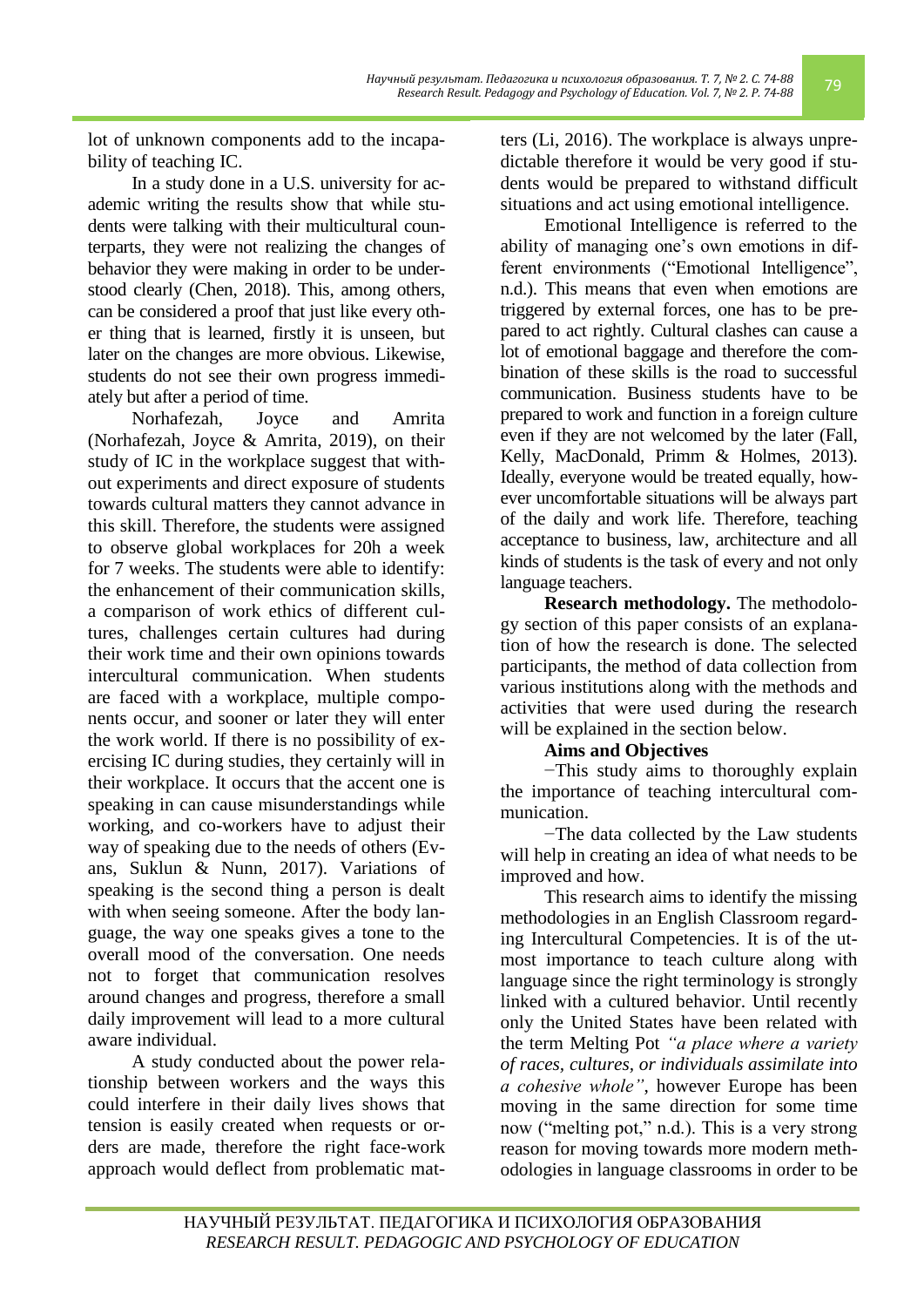*Научный результат. Педагогика и психология образования. Т. 7, № 2. С. 74-88 Research Result. Pedagogy and Psychology of Education. Vol. 7, № 2. P. 74-88* 79

lot of unknown components add to the incapability of teaching IC.

In a study done in a U.S. university for academic writing the results show that while students were talking with their multicultural counterparts, they were not realizing the changes of behavior they were making in order to be understood clearly (Chen, 2018). This, among others, can be considered a proof that just like every other thing that is learned, firstly it is unseen, but later on the changes are more obvious. Likewise, students do not see their own progress immediately but after a period of time.

Norhafezah, Joyce and Amrita (Norhafezah, Joyce & Amrita, 2019), on their study of IC in the workplace suggest that without experiments and direct exposure of students towards cultural matters they cannot advance in this skill. Therefore, the students were assigned to observe global workplaces for 20h a week for 7 weeks. The students were able to identify: the enhancement of their communication skills, a comparison of work ethics of different cultures, challenges certain cultures had during their work time and their own opinions towards intercultural communication. When students are faced with a workplace, multiple components occur, and sooner or later they will enter the work world. If there is no possibility of exercising IC during studies, they certainly will in their workplace. It occurs that the accent one is speaking in can cause misunderstandings while working, and co-workers have to adjust their way of speaking due to the needs of others (Evans, Suklun & Nunn, 2017). Variations of speaking is the second thing a person is dealt with when seeing someone. After the body language, the way one speaks gives a tone to the overall mood of the conversation. One needs not to forget that communication resolves around changes and progress, therefore a small daily improvement will lead to a more cultural aware individual.

A study conducted about the power relationship between workers and the ways this could interfere in their daily lives shows that tension is easily created when requests or orders are made, therefore the right face-work approach would deflect from problematic matters (Li, 2016). The workplace is always unpredictable therefore it would be very good if students would be prepared to withstand difficult situations and act using emotional intelligence.

Emotional Intelligence is referred to the ability of managing one's own emotions in different environments ("Emotional Intelligence", n.d.). This means that even when emotions are triggered by external forces, one has to be prepared to act rightly. Cultural clashes can cause a bination of these skills is the road to successful communication. Business students have to be prepared to work and function in a foreign culture even if they are not welcomed by the later (Fall, Kelly, MacDonald, Primm & Holmes, 2013). Ideally, everyone would be treated equally, however uncomfortable situations will be always part of the daily and work life. Therefore, teaching acceptance to business, law, architecture and all kinds of students is the task of every and not only language teachers.

**Research methodology.** The methodology section of this paper consists of an explanation of how the research is done. The selected participants, the method of data collection from various institutions along with the methods and activities that were used during the research will be explained in the section below.

### **Aims and Objectives**

−This study aims to thoroughly explain the importance of teaching intercultural communication.

−The data collected by the Law students will help in creating an idea of what needs to be improved and how.

This research aims to identify the missing methodologies in an English Classroom regarding Intercultural Competencies. It is of the utmost importance to teach culture along with language since the right terminology is strongly linked with a cultured behavior. Until recently only the United States have been related with the term Melting Pot *"a place where a variety of races, cultures, or individuals assimilate into a cohesive whole"*, however Europe has been moving in the same direction for some time now ("melting pot," n.d.). This is a very strong reason for moving towards more modern methodologies in language classrooms in order to be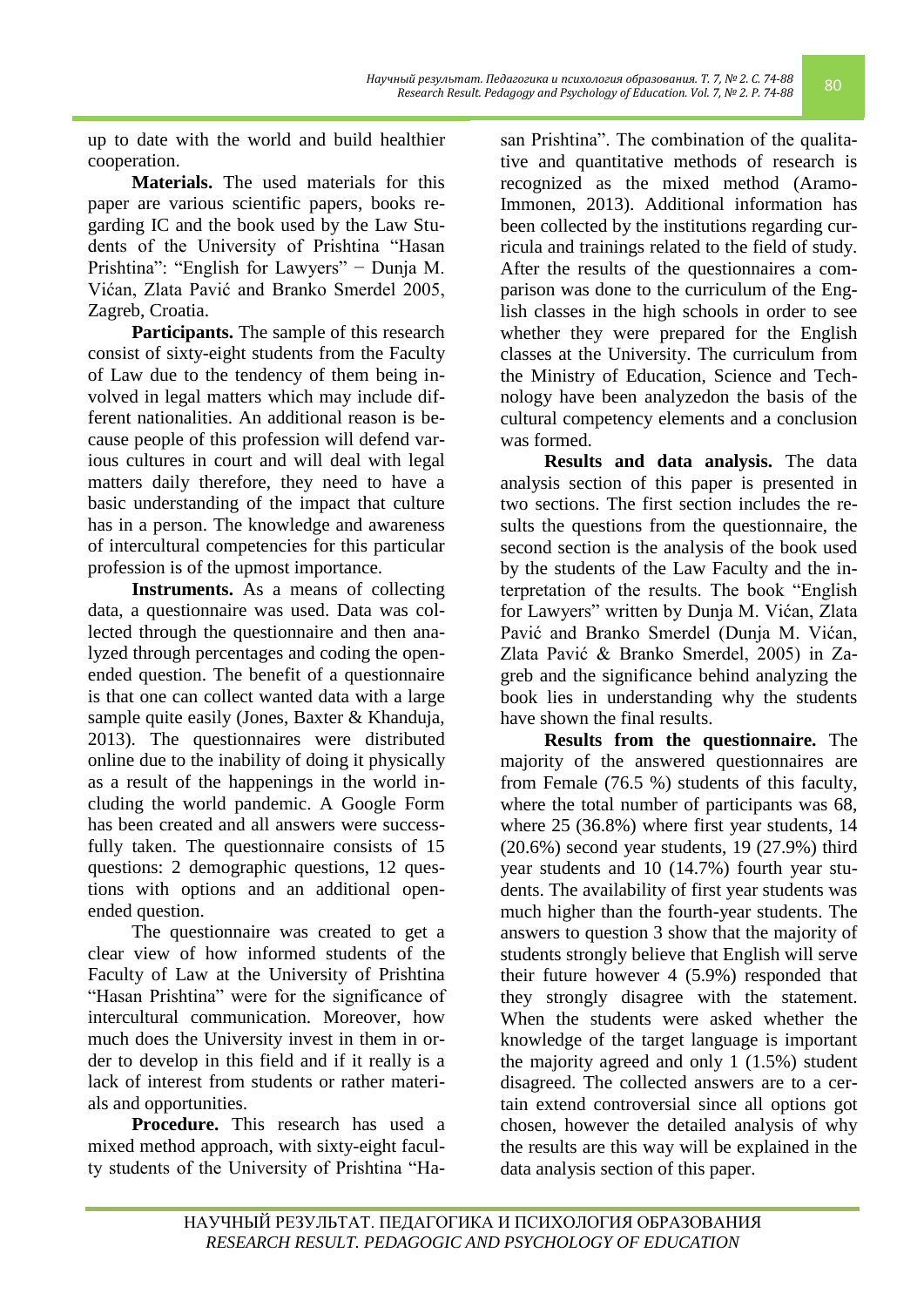up to date with the world and build healthier cooperation.

**Materials.** The used materials for this paper are various scientific papers, books regarding IC and the book used by the Law Students of the University of Prishtina "Hasan Prishtina": "English for Lawyers" − Dunja M. Vićan, Zlata Pavić and Branko Smerdel 2005, Zagreb, Croatia.

**Participants.** The sample of this research consist of sixty-eight students from the Faculty of Law due to the tendency of them being involved in legal matters which may include different nationalities. An additional reason is because people of this profession will defend various cultures in court and will deal with legal matters daily therefore, they need to have a basic understanding of the impact that culture has in a person. The knowledge and awareness of intercultural competencies for this particular profession is of the upmost importance.

**Instruments.** As a means of collecting data, a questionnaire was used. Data was collected through the questionnaire and then analyzed through percentages and coding the openended question. The benefit of a questionnaire is that one can collect wanted data with a large sample quite easily (Jones, Baxter & Khanduja, 2013). The questionnaires were distributed online due to the inability of doing it physically as a result of the happenings in the world including the world pandemic. A Google Form has been created and all answers were successfully taken. The questionnaire consists of 15 questions: 2 demographic questions, 12 questions with options and an additional openended question.

The questionnaire was created to get a clear view of how informed students of the Faculty of Law at the University of Prishtina "Hasan Prishtina" were for the significance of intercultural communication. Moreover, how much does the University invest in them in order to develop in this field and if it really is a lack of interest from students or rather materials and opportunities.

**Procedure.** This research has used a mixed method approach, with sixty-eight faculty students of the University of Prishtina "Hasan Prishtina". The combination of the qualitative and quantitative methods of research is recognized as the mixed method (Aramo-Immonen, 2013). Additional information has been collected by the institutions regarding curricula and trainings related to the field of study. After the results of the questionnaires a comparison was done to the curriculum of the English classes in the high schools in order to see whether they were prepared for the English classes at the University. The curriculum from the Ministry of Education, Science and Technology have been analyzedon the basis of the cultural competency elements and a conclusion was formed.

*RESPARE RESULT RESEARCH RESEARCH RESEARCH RESEARCH RESEARCH RESEARCH RESEARCH RESEARCH RESEARCH RESEARCH RESEARCH RESEARCH RESEARCH RESEARCH RESEARCH RESEARCH RESEARCH RESEARCH RESEARCH RESEARCH RESEARCH RESEARCH RESEAR* 

**Results and data analysis.** The data analysis section of this paper is presented in two sections. The first section includes the results the questions from the questionnaire, the second section is the analysis of the book used by the students of the Law Faculty and the interpretation of the results. The book "English" for Lawyers" written by Dunja M. Vićan, Zlata Pavić and Branko Smerdel (Dunja M. Vićan, Zlata Pavić & Branko Smerdel, 2005) in Zagreb and the significance behind analyzing the book lies in understanding why the students have shown the final results.

**Results from the questionnaire.** The majority of the answered questionnaires are from Female (76.5 %) students of this faculty, where the total number of participants was 68, where 25 (36.8%) where first year students, 14 (20.6%) second year students, 19 (27.9%) third year students and 10 (14.7%) fourth year students. The availability of first year students was much higher than the fourth-year students. The answers to question 3 show that the majority of students strongly believe that English will serve their future however 4 (5.9%) responded that they strongly disagree with the statement. When the students were asked whether the knowledge of the target language is important the majority agreed and only 1 (1.5%) student disagreed. The collected answers are to a certain extend controversial since all options got chosen, however the detailed analysis of why the results are this way will be explained in the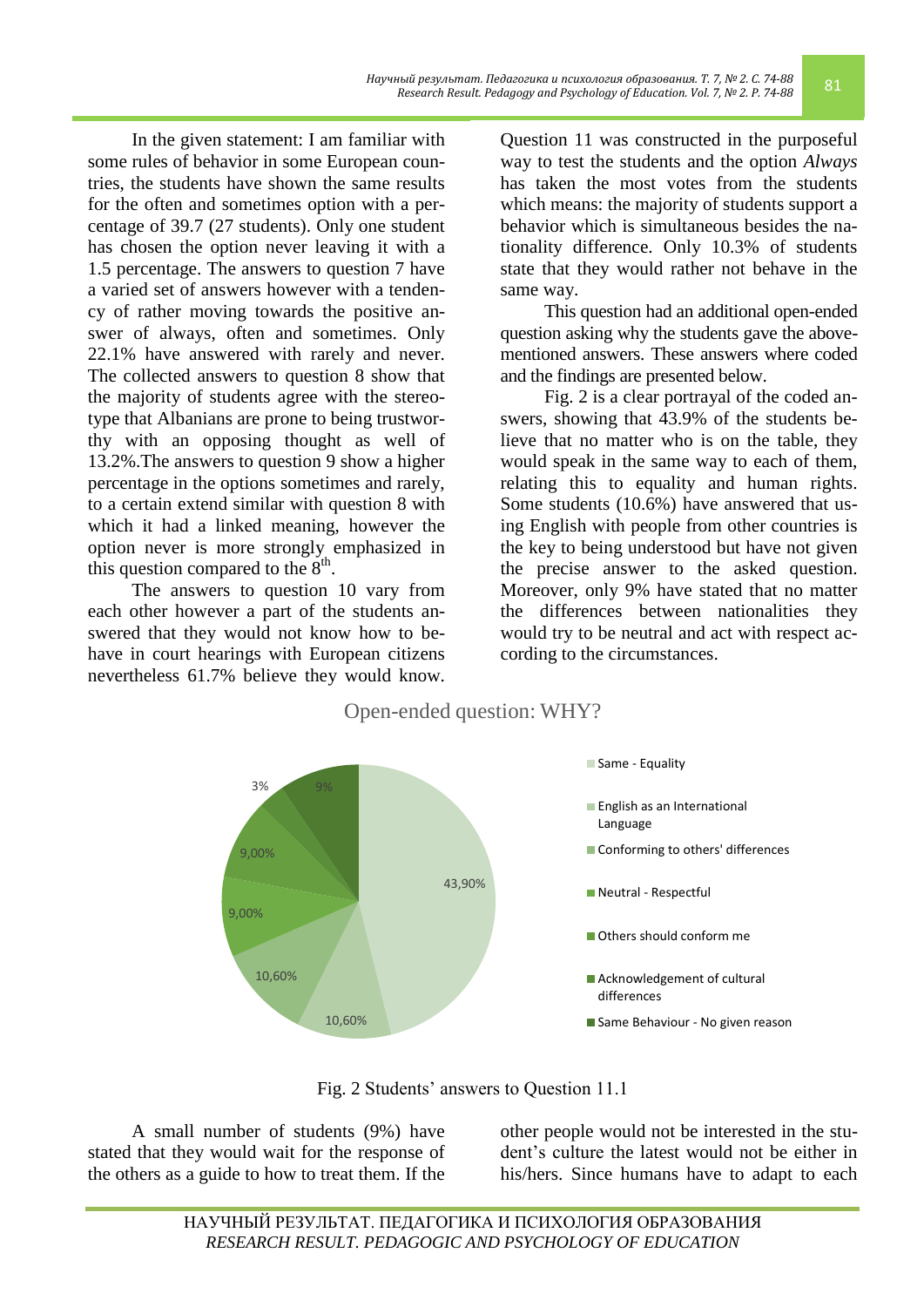In the given statement: I am familiar with some rules of behavior in some European countries, the students have shown the same results for the often and sometimes option with a percentage of 39.7 (27 students). Only one student has chosen the option never leaving it with a 1.5 percentage. The answers to question 7 have a varied set of answers however with a tendency of rather moving towards the positive answer of always, often and sometimes. Only 22.1% have answered with rarely and never. The collected answers to question 8 show that the majority of students agree with the stereotype that Albanians are prone to being trustworthy with an opposing thought as well of 13.2%.The answers to question 9 show a higher percentage in the options sometimes and rarely, to a certain extend similar with question 8 with which it had a linked meaning, however the option never is more strongly emphasized in this question compared to the  $8<sup>th</sup>$ .

The answers to question 10 vary from each other however a part of the students answered that they would not know how to behave in court hearings with European citizens nevertheless 61.7% believe they would know.

Question 11 was constructed in the purposeful way to test the students and the option *Always* has taken the most votes from the students which means: the majority of students support a behavior which is simultaneous besides the nationality difference. Only 10.3% of students state that they would rather not behave in the same way.

This question had an additional open-ended question asking why the students gave the abovementioned answers. These answers where coded and the findings are presented below.

Fig. 2 is a clear portrayal of the coded answers, showing that 43.9% of the students believe that no matter who is on the table, they would speak in the same way to each of them, relating this to equality and human rights. Some students (10.6%) have answered that using English with people from other countries is the key to being understood but have not given the precise answer to the asked question. Moreover, only 9% have stated that no matter the differences between nationalities they would try to be neutral and act with respect according to the circumstances.





Fig. 2 Students' answers to Question 11.1

A small number of students (9%) have stated that they would wait for the response of the others as a guide to how to treat them. If the other people would not be interested in the student's culture the latest would not be either in his/hers. Since humans have to adapt to each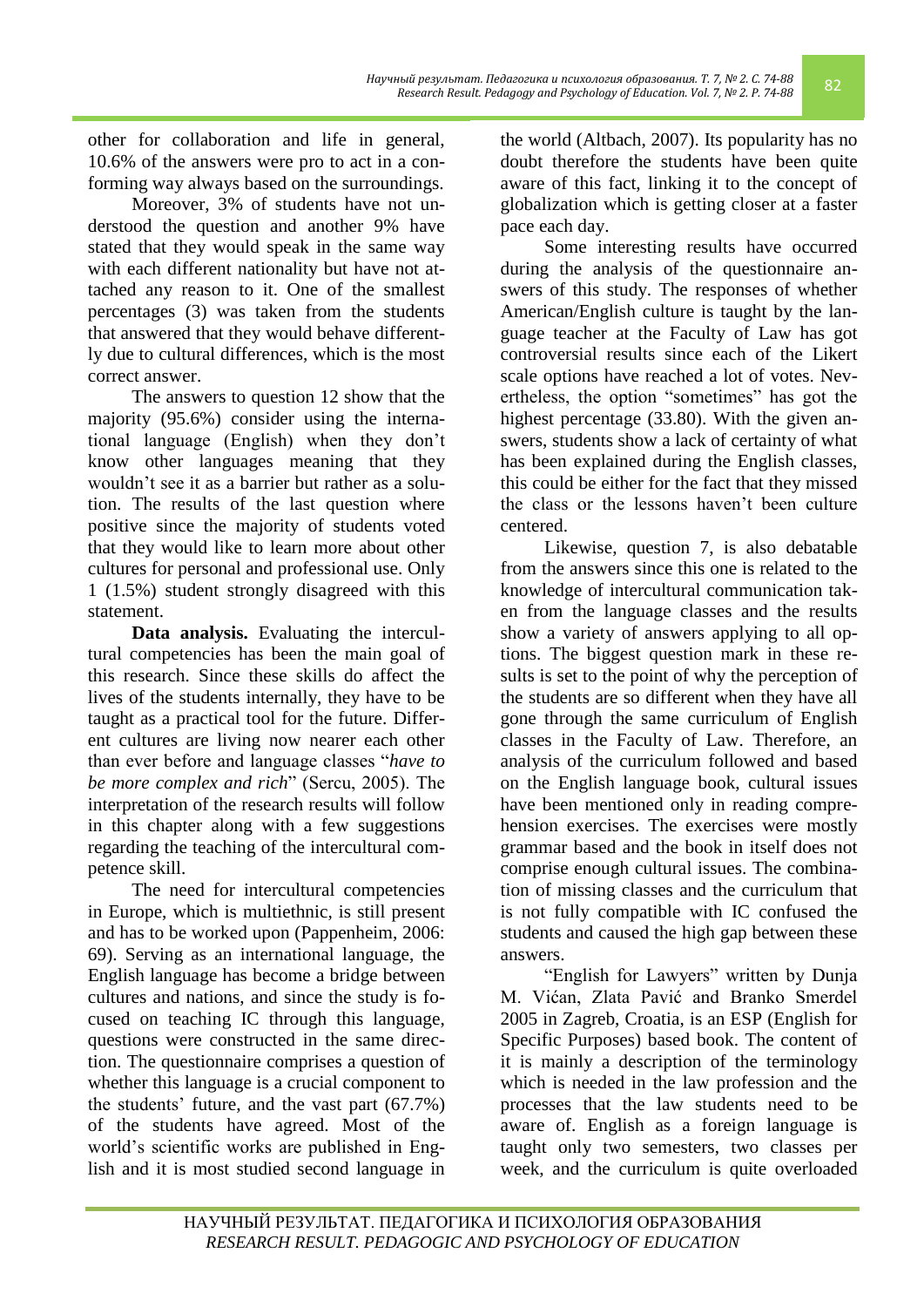other for collaboration and life in general, 10.6% of the answers were pro to act in a conforming way always based on the surroundings.

Moreover, 3% of students have not understood the question and another 9% have stated that they would speak in the same way with each different nationality but have not attached any reason to it. One of the smallest percentages (3) was taken from the students that answered that they would behave differently due to cultural differences, which is the most correct answer.

The answers to question 12 show that the majority (95.6%) consider using the international language (English) when they don't know other languages meaning that they wouldn't see it as a barrier but rather as a solution. The results of the last question where positive since the majority of students voted that they would like to learn more about other cultures for personal and professional use. Only 1 (1.5%) student strongly disagreed with this statement.

**Data analysis.** Evaluating the intercultural competencies has been the main goal of this research. Since these skills do affect the lives of the students internally, they have to be taught as a practical tool for the future. Different cultures are living now nearer each other than ever before and language classes ―*have to be more complex and rich*" (Sercu, 2005). The interpretation of the research results will follow in this chapter along with a few suggestions regarding the teaching of the intercultural competence skill.

The need for intercultural competencies in Europe, which is multiethnic, is still present and has to be worked upon (Pappenheim, 2006: 69). Serving as an international language, the English language has become a bridge between cultures and nations, and since the study is focused on teaching IC through this language, questions were constructed in the same direction. The questionnaire comprises a question of whether this language is a crucial component to the students' future, and the vast part (67.7%) of the students have agreed. Most of the world's scientific works are published in English and it is most studied second language in

the world (Altbach, 2007). Its popularity has no doubt therefore the students have been quite aware of this fact, linking it to the concept of globalization which is getting closer at a faster pace each day.

Some interesting results have occurred during the analysis of the questionnaire answers of this study. The responses of whether American/English culture is taught by the language teacher at the Faculty of Law has got controversial results since each of the Likert scale options have reached a lot of votes. Nevertheless, the option "sometimes" has got the highest percentage (33.80). With the given answers, students show a lack of certainty of what has been explained during the English classes, this could be either for the fact that they missed the class or the lessons haven't been culture centered.

Likewise, question 7, is also debatable from the answers since this one is related to the knowledge of intercultural communication taken from the language classes and the results show a variety of answers applying to all options. The biggest question mark in these results is set to the point of why the perception of the students are so different when they have all gone through the same curriculum of English classes in the Faculty of Law. Therefore, an analysis of the curriculum followed and based on the English language book, cultural issues have been mentioned only in reading comprehension exercises. The exercises were mostly grammar based and the book in itself does not comprise enough cultural issues. The combination of missing classes and the curriculum that is not fully compatible with IC confused the students and caused the high gap between these answers.

"English for Lawyers" written by Dunja M. Vićan, Zlata Pavić and Branko Smerdel 2005 in Zagreb, Croatia, is an ESP (English for Specific Purposes) based book. The content of it is mainly a description of the terminology which is needed in the law profession and the processes that the law students need to be aware of. English as a foreign language is taught only two semesters, two classes per week, and the curriculum is quite overloaded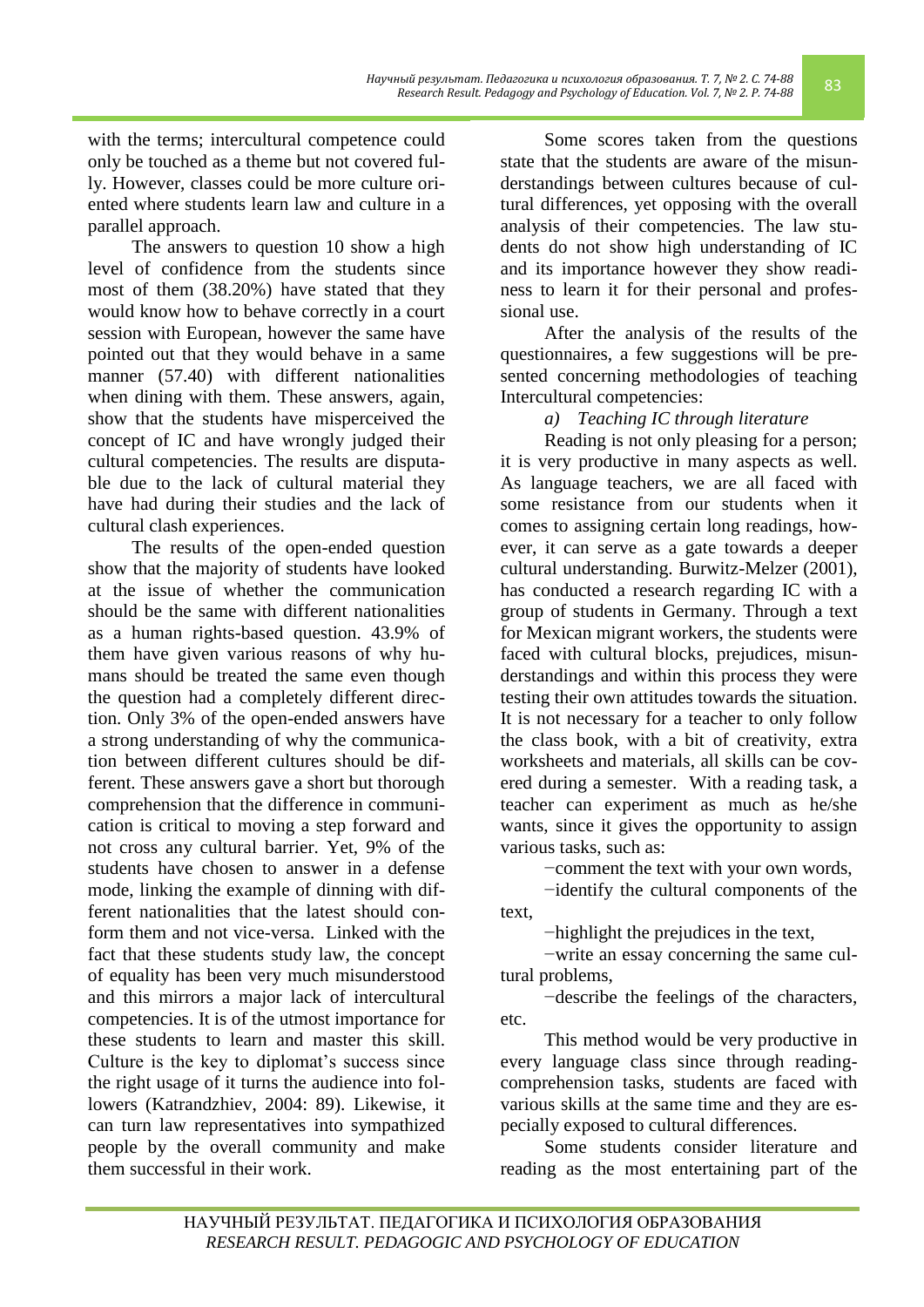with the terms; intercultural competence could only be touched as a theme but not covered fully. However, classes could be more culture oriented where students learn law and culture in a parallel approach.

The answers to question 10 show a high level of confidence from the students since most of them (38.20%) have stated that they would know how to behave correctly in a court session with European, however the same have pointed out that they would behave in a same manner (57.40) with different nationalities when dining with them. These answers, again, show that the students have misperceived the concept of IC and have wrongly judged their cultural competencies. The results are disputable due to the lack of cultural material they have had during their studies and the lack of cultural clash experiences.

The results of the open-ended question show that the majority of students have looked at the issue of whether the communication should be the same with different nationalities as a human rights-based question. 43.9% of them have given various reasons of why humans should be treated the same even though the question had a completely different direction. Only 3% of the open-ended answers have a strong understanding of why the communication between different cultures should be different. These answers gave a short but thorough comprehension that the difference in communication is critical to moving a step forward and not cross any cultural barrier. Yet, 9% of the students have chosen to answer in a defense mode, linking the example of dinning with different nationalities that the latest should conform them and not vice-versa. Linked with the fact that these students study law, the concept of equality has been very much misunderstood and this mirrors a major lack of intercultural competencies. It is of the utmost importance for these students to learn and master this skill. Culture is the key to diplomat's success since the right usage of it turns the audience into followers (Katrandzhiev, 2004: 89). Likewise, it can turn law representatives into sympathized people by the overall community and make them successful in their work.

Some scores taken from the questions state that the students are aware of the misunderstandings between cultures because of cultural differences, yet opposing with the overall analysis of their competencies. The law students do not show high understanding of IC and its importance however they show readiness to learn it for their personal and professional use.

After the analysis of the results of the questionnaires, a few suggestions will be presented concerning methodologies of teaching Intercultural competencies:

*a) Teaching IC through literature*

Reading is not only pleasing for a person; it is very productive in many aspects as well. As language teachers, we are all faced with some resistance from our students when it comes to assigning certain long readings, however, it can serve as a gate towards a deeper cultural understanding. Burwitz-Melzer (2001), has conducted a research regarding IC with a group of students in Germany. Through a text for Mexican migrant workers, the students were faced with cultural blocks, prejudices, misunderstandings and within this process they were testing their own attitudes towards the situation. It is not necessary for a teacher to only follow the class book, with a bit of creativity, extra worksheets and materials, all skills can be covered during a semester. With a reading task, a teacher can experiment as much as he/she wants, since it gives the opportunity to assign various tasks, such as:

−comment the text with your own words,

−identify the cultural components of the text,

−highlight the prejudices in the text,

−write an essay concerning the same cultural problems,

−describe the feelings of the characters, etc.

This method would be very productive in every language class since through readingcomprehension tasks, students are faced with various skills at the same time and they are especially exposed to cultural differences.

Some students consider literature and reading as the most entertaining part of the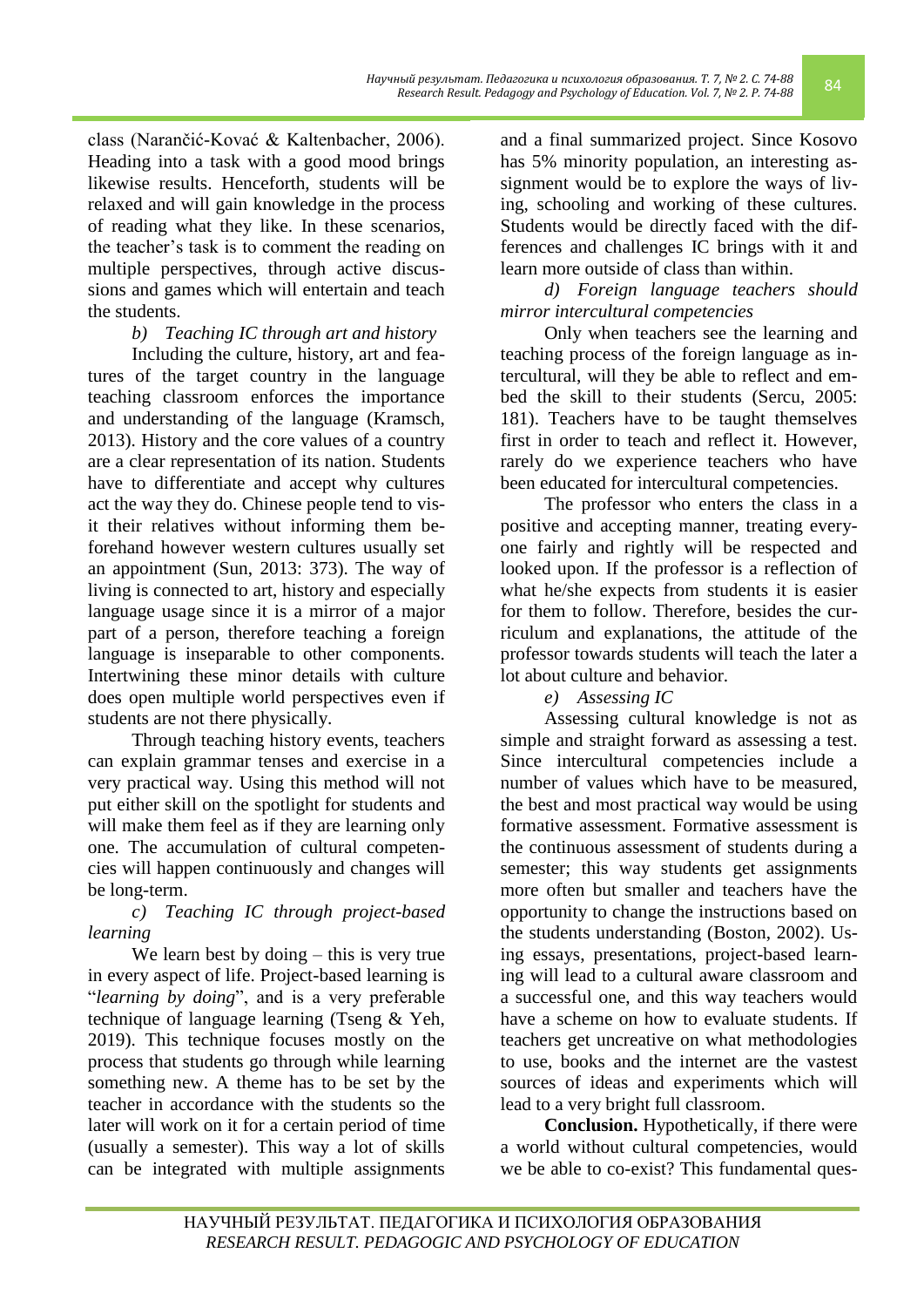class (Narančić-Kovać & Kaltenbacher, 2006). Heading into a task with a good mood brings likewise results. Henceforth, students will be relaxed and will gain knowledge in the process of reading what they like. In these scenarios, the teacher's task is to comment the reading on multiple perspectives, through active discussions and games which will entertain and teach the students.

*b) Teaching IC through art and history* 

Including the culture, history, art and features of the target country in the language teaching classroom enforces the importance and understanding of the language (Kramsch, 2013). History and the core values of a country are a clear representation of its nation. Students have to differentiate and accept why cultures act the way they do. Chinese people tend to visit their relatives without informing them beforehand however western cultures usually set an appointment (Sun, 2013: 373). The way of living is connected to art, history and especially language usage since it is a mirror of a major part of a person, therefore teaching a foreign language is inseparable to other components. Intertwining these minor details with culture does open multiple world perspectives even if students are not there physically.

Through teaching history events, teachers can explain grammar tenses and exercise in a very practical way. Using this method will not put either skill on the spotlight for students and will make them feel as if they are learning only one. The accumulation of cultural competencies will happen continuously and changes will be long-term.

## *c) Teaching IC through project-based learning*

We learn best by doing – this is very true in every aspect of life. Project-based learning is "*learning by doing*", and is a very preferable technique of language learning (Tseng & Yeh, 2019). This technique focuses mostly on the process that students go through while learning something new. A theme has to be set by the teacher in accordance with the students so the later will work on it for a certain period of time (usually a semester). This way a lot of skills can be integrated with multiple assignments and a final summarized project. Since Kosovo has 5% minority population, an interesting assignment would be to explore the ways of living, schooling and working of these cultures. Students would be directly faced with the differences and challenges IC brings with it and learn more outside of class than within.

# *d) Foreign language teachers should mirror intercultural competencies*

Only when teachers see the learning and teaching process of the foreign language as intercultural, will they be able to reflect and embed the skill to their students (Sercu, 2005: 181). Teachers have to be taught themselves first in order to teach and reflect it. However, rarely do we experience teachers who have been educated for intercultural competencies.

The professor who enters the class in a positive and accepting manner, treating everyone fairly and rightly will be respected and looked upon. If the professor is a reflection of what he/she expects from students it is easier for them to follow. Therefore, besides the curriculum and explanations, the attitude of the professor towards students will teach the later a lot about culture and behavior.

*e) Assessing IC*

Assessing cultural knowledge is not as simple and straight forward as assessing a test. Since intercultural competencies include a number of values which have to be measured, the best and most practical way would be using formative assessment. Formative assessment is the continuous assessment of students during a semester; this way students get assignments more often but smaller and teachers have the opportunity to change the instructions based on the students understanding (Boston, 2002). Using essays, presentations, project-based learning will lead to a cultural aware classroom and a successful one, and this way teachers would have a scheme on how to evaluate students. If teachers get uncreative on what methodologies to use, books and the internet are the vastest sources of ideas and experiments which will lead to a very bright full classroom.

**Conclusion.** Hypothetically, if there were a world without cultural competencies, would we be able to co-exist? This fundamental ques-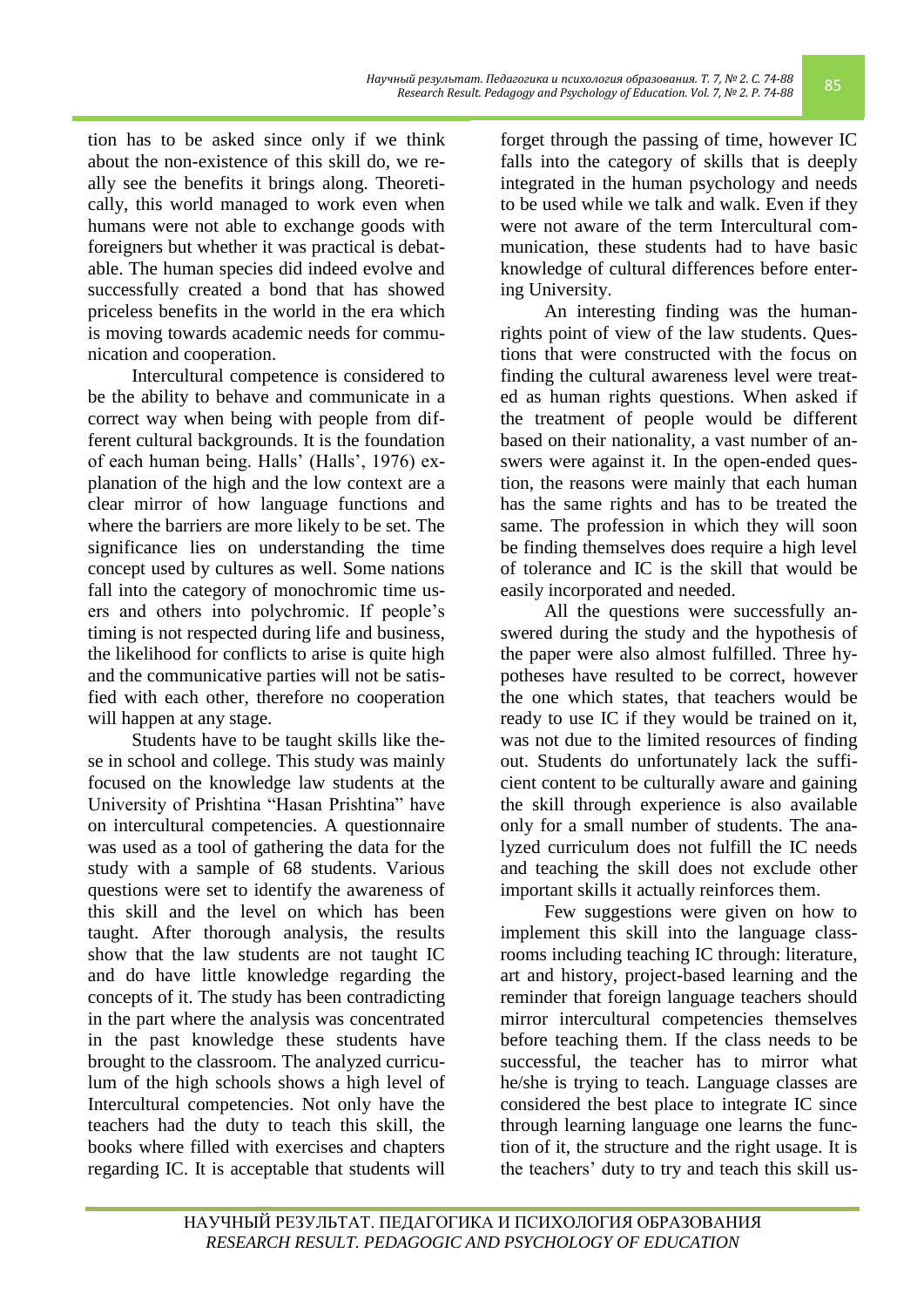to be used while we talk and walk. Even if they were not aware of the term Intercultural communication, these students had to have basic knowledge of cultural differences before entering University. An interesting finding was the humanrights point of view of the law students. Ques-

integrated in the human psychology and needs

tions that were constructed with the focus on finding the cultural awareness level were treated as human rights questions. When asked if the treatment of people would be different based on their nationality, a vast number of answers were against it. In the open-ended question, the reasons were mainly that each human has the same rights and has to be treated the same. The profession in which they will soon be finding themselves does require a high level of tolerance and IC is the skill that would be easily incorporated and needed.

All the questions were successfully answered during the study and the hypothesis of the paper were also almost fulfilled. Three hypotheses have resulted to be correct, however the one which states, that teachers would be ready to use IC if they would be trained on it, was not due to the limited resources of finding out. Students do unfortunately lack the sufficient content to be culturally aware and gaining the skill through experience is also available only for a small number of students. The analyzed curriculum does not fulfill the IC needs and teaching the skill does not exclude other important skills it actually reinforces them.

*Research Result. Pedagogy and Psychology of Education. Vol. 7, № 2. P. 74-88* 85 forget through the passing of time, however IC falls into the category of skills that is deeply

*Научный результат. Педагогика и психология образования. Т. 7, № 2. С. 74-88*

tion has to be asked since only if we think about the non-existence of this skill do, we really see the benefits it brings along. Theoretically, this world managed to work even when humans were not able to exchange goods with foreigners but whether it was practical is debatable. The human species did indeed evolve and successfully created a bond that has showed priceless benefits in the world in the era which is moving towards academic needs for communication and cooperation.

Intercultural competence is considered to be the ability to behave and communicate in a correct way when being with people from different cultural backgrounds. It is the foundation of each human being. Halls' (Halls', 1976) explanation of the high and the low context are a clear mirror of how language functions and where the barriers are more likely to be set. The significance lies on understanding the time concept used by cultures as well. Some nations fall into the category of monochromic time users and others into polychromic. If people's timing is not respected during life and business, the likelihood for conflicts to arise is quite high and the communicative parties will not be satisfied with each other, therefore no cooperation will happen at any stage.

Students have to be taught skills like these in school and college. This study was mainly focused on the knowledge law students at the University of Prishtina "Hasan Prishtina" have on intercultural competencies. A questionnaire was used as a tool of gathering the data for the study with a sample of 68 students. Various questions were set to identify the awareness of this skill and the level on which has been taught. After thorough analysis, the results show that the law students are not taught IC and do have little knowledge regarding the concepts of it. The study has been contradicting in the part where the analysis was concentrated in the past knowledge these students have brought to the classroom. The analyzed curriculum of the high schools shows a high level of Intercultural competencies. Not only have the teachers had the duty to teach this skill, the books where filled with exercises and chapters regarding IC. It is acceptable that students will

implement this skill into the language classrooms including teaching IC through: literature, art and history, project-based learning and the reminder that foreign language teachers should mirror intercultural competencies themselves before teaching them. If the class needs to be successful, the teacher has to mirror what he/she is trying to teach. Language classes are considered the best place to integrate IC since through learning language one learns the function of it, the structure and the right usage. It is the teachers' duty to try and teach this skill us-

Few suggestions were given on how to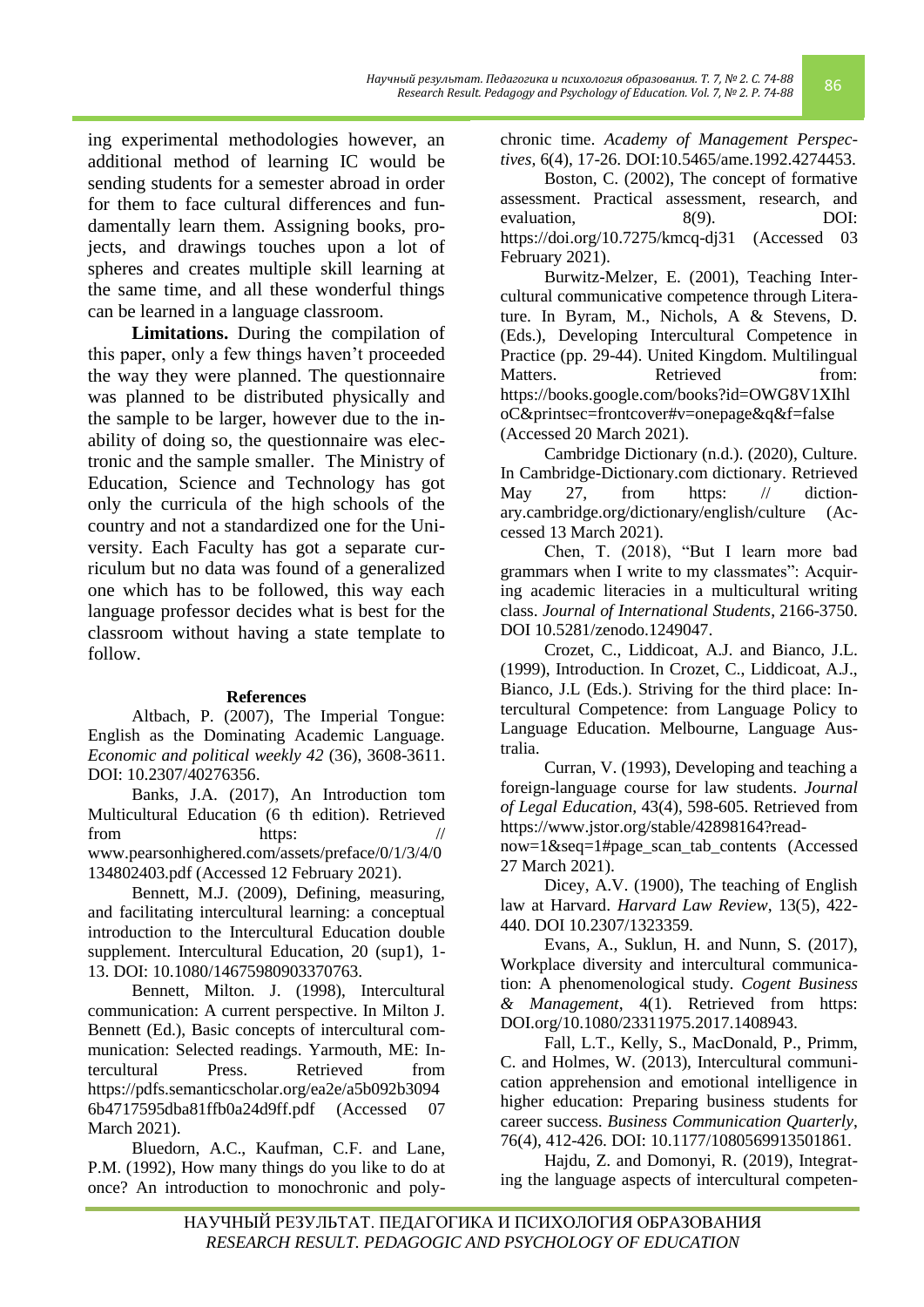ing experimental methodologies however, an additional method of learning IC would be sending students for a semester abroad in order for them to face cultural differences and fundamentally learn them. Assigning books, projects, and drawings touches upon a lot of spheres and creates multiple skill learning at the same time, and all these wonderful things can be learned in a language classroom.

**Limitations.** During the compilation of this paper, only a few things haven't proceeded the way they were planned. The questionnaire was planned to be distributed physically and the sample to be larger, however due to the inability of doing so, the questionnaire was electronic and the sample smaller. The Ministry of Education, Science and Technology has got only the curricula of the high schools of the country and not a standardized one for the University. Each Faculty has got a separate curriculum but no data was found of a generalized one which has to be followed, this way each language professor decides what is best for the classroom without having a state template to follow.

#### **References**

Altbach, P. (2007), The Imperial Tongue: English as the Dominating Academic Language. *Economic and political weekly 42* (36), 3608-3611. DOI: 10.2307/40276356.

Banks, J.A. (2017), An Introduction tom Multicultural Education (6 th edition). Retrieved from https: // [www.pearsonhighered.com/assets/preface/0/1/3/4/0](http://https:%20/%20www.pearsonhighered.com/assets/preface/0/1/3/4/0134802403.pdf) [134802403.pdf](http://https:%20/%20www.pearsonhighered.com/assets/preface/0/1/3/4/0134802403.pdf) (Accessed 12 February 2021).

Bennett, M.J. (2009), Defining, measuring, and facilitating intercultural learning: a conceptual introduction to the Intercultural Education double supplement. Intercultural Education, 20 (sup1), 1- 13. DOI: 10.1080/14675980903370763.

Bennett, Milton. J. (1998), Intercultural communication: A current perspective. In Milton J. Bennett (Ed.), Basic concepts of intercultural communication: Selected readings. Yarmouth, ME: Intercultural Press. Retrieved from [https://pdfs.semanticscholar.org/ea2e/a5b092b3094](https://pdfs.semanticscholar.org/ea2e/a5b092b30946b4717595dba81ffb0a24d9ff.pdf) [6b4717595dba81ffb0a24d9ff.pdf](https://pdfs.semanticscholar.org/ea2e/a5b092b30946b4717595dba81ffb0a24d9ff.pdf) (Accessed 07 March 2021).

Bluedorn, A.C., Kaufman, C.F. and Lane, P.M. (1992), How many things do you like to do at once? An introduction to monochronic and polychronic time. *Academy of Management Perspectives,* 6(4), 17-26. DOI:10.5465/ame.1992.4274453.

Boston, C. (2002), The concept of formative assessment. Practical assessment, research, and evaluation. 8(9). DOI: <https://doi.org/10.7275/kmcq-dj31> (Accessed 03 February 2021).

Burwitz-Melzer, E. (2001), Teaching Intercultural communicative competence through Literature. In Byram, M., Nichols, A & Stevens, D. (Eds.), Developing Intercultural Competence in Practice (pp. 29-44). United Kingdom. Multilingual Matters. Retrieved from: [https://books.google.com/books?id=OWG8V1XIhl](https://books.google.com/books?id=OWG8V1XIhloC&printsec=frontcover#v=onepage&q&f=false) [oC&printsec=frontcover#v=onepage&q&f=false](https://books.google.com/books?id=OWG8V1XIhloC&printsec=frontcover#v=onepage&q&f=false) (Accessed 20 March 2021).

Cambridge Dictionary (n.d.). (2020), Culture. In Cambridge-Dictionary.com dictionary. Retrieved May 27, from [https: // diction](https://dictionary.cambridge.org/dictionary/english/culture)[ary.cambridge.org/dictionary/english/culture](https://dictionary.cambridge.org/dictionary/english/culture) (Accessed 13 March 2021).

Chen, T. (2018), "But I learn more bad grammars when I write to my classmates": Acquiring academic literacies in a multicultural writing class. *Journal of International Students*, 2166-3750. DOI 10.5281/zenodo.1249047.

Crozet, C., Liddicoat, A.J. and Bianco, J.L. (1999), Introduction. In Crozet, C., Liddicoat, A.J., Bianco, J.L (Eds.). Striving for the third place: Intercultural Competence: from Language Policy to Language Education. Melbourne, Language Australia.

Curran, V. (1993), Developing and teaching a foreign-language course for law students. *Journal of Legal Education*, 43(4), 598-605. Retrieved from https://www.jstor.org/stable/42898164?read-

now=1&seq=1#page\_scan\_tab\_contents (Accessed 27 March 2021).

Dicey, A.V. (1900), The teaching of English law at Harvard. *Harvard Law Review*, 13(5), 422- 440. DOI 10.2307/1323359.

Evans, A., Suklun, H. and Nunn, S. (2017), Workplace diversity and intercultural communication: A phenomenological study. *Cogent Business & Management*, 4(1). Retrieved from https: DOI.org/10.1080/23311975.2017.1408943.

Fall, L.T., Kelly, S., MacDonald, P., Primm, C. and Holmes, W. (2013), Intercultural communication apprehension and emotional intelligence in higher education: Preparing business students for career success. *Business Communication Quarterly*, 76(4), 412-426. DOI: 10.1177/1080569913501861.

Hajdu, Z. and Domonyi, R. (2019), Integrating the language aspects of intercultural competen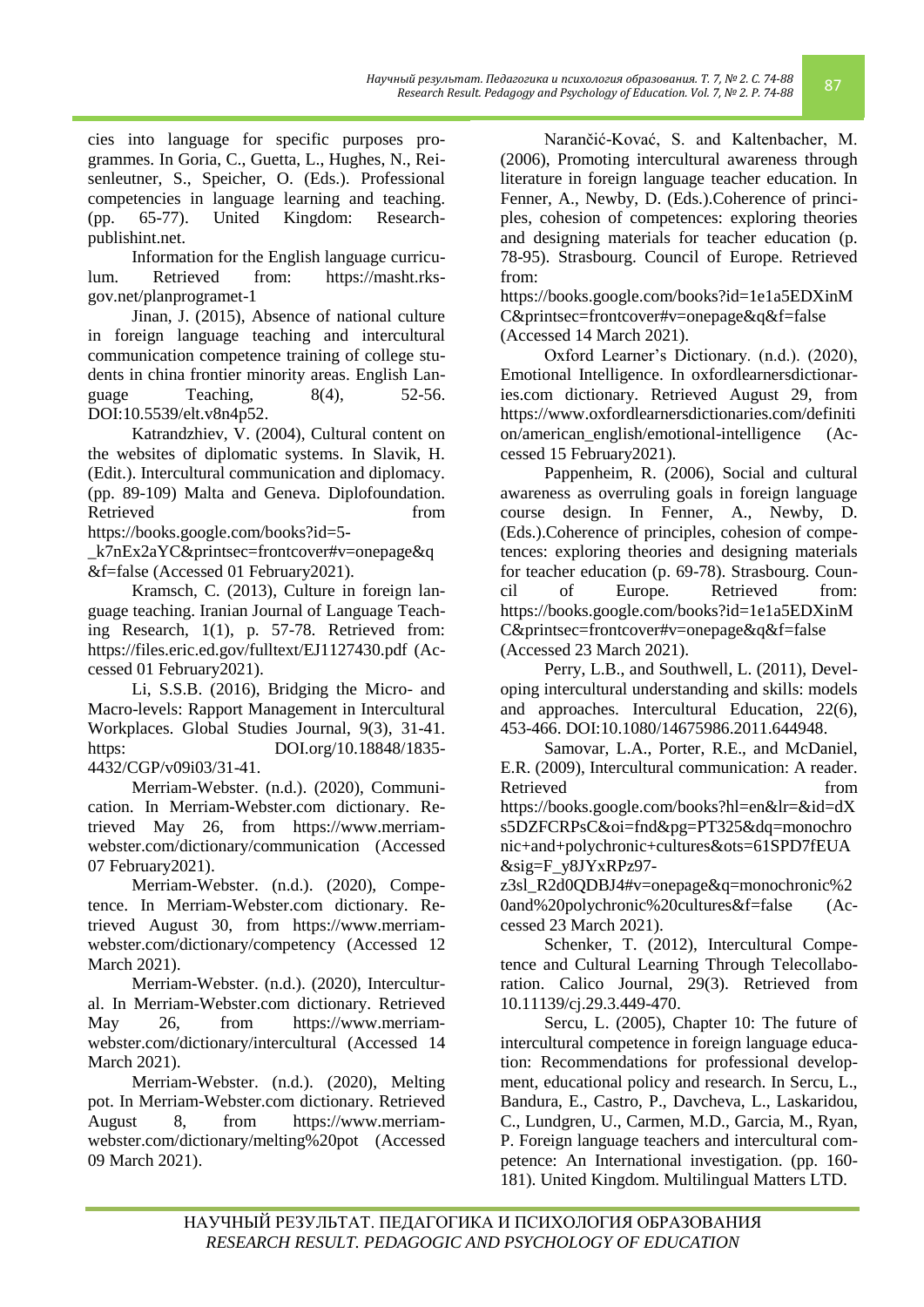*Научный результат. Педагогика и психология образования. Т. 7, № 2. С. 74-88*

cies into language for specific purposes programmes. In Goria, C., Guetta, L., Hughes, N., Reisenleutner, S., Speicher, O. (Eds.). Professional competencies in language learning and teaching. (pp. 65-77). United Kingdom: Researchpublishint.net.

Information for the English language curriculum. Retrieved from: https://masht.rksgov.net/planprogramet-1

Jinan, J. (2015), Absence of national culture in foreign language teaching and intercultural communication competence training of college students in china frontier minority areas. English Language Teaching,  $8(4)$ ,  $52-56$ . DOI:10.5539/elt.v8n4p52.

Katrandzhiev, V. (2004), Cultural content on the websites of diplomatic systems. In Slavik, H. (Edit.). Intercultural communication and diplomacy. (pp. 89-109) Malta and Geneva. Diplofoundation. Retrieved from the set of  $\sim$  from the set of  $\sim$  from the set of  $\sim$  from the set of  $\sim$  from the set of  $\sim$  from the set of  $\sim$  from the set of  $\sim$  from the set of  $\sim$  from the set of  $\sim$  from the set of  $\sim$  fr

[https://books.google.com/books?id=5-](https://books.google.com/books?id=5-_k7nEx2aYC&printsec=frontcover#v=onepage&q&f=false)

[\\_k7nEx2aYC&printsec=frontcover#v=onepage&q](https://books.google.com/books?id=5-_k7nEx2aYC&printsec=frontcover#v=onepage&q&f=false) [&f=false](https://books.google.com/books?id=5-_k7nEx2aYC&printsec=frontcover#v=onepage&q&f=false) (Accessed 01 February2021).

Kramsch, C. (2013), Culture in foreign language teaching. Iranian Journal of Language Teaching Research, 1(1), p. 57-78. Retrieved from: <https://files.eric.ed.gov/fulltext/EJ1127430.pdf> (Accessed 01 February2021).

Li, S.S.B. (2016), Bridging the Micro- and Macro-levels: Rapport Management in Intercultural Workplaces. Global Studies Journal, 9(3), 31-41. https: DOI.org/10.18848/1835-4432/CGP/v09i03/31-41.

Merriam-Webster. (n.d.). (2020), Communication. In Merriam-Webster.com dictionary. Retrieved May 26, from [https://www.merriam](https://www.merriam-webster.com/dictionary/communication)[webster.com/dictionary/communication](https://www.merriam-webster.com/dictionary/communication) (Accessed 07 February2021).

Merriam-Webster. (n.d.). (2020), Competence. In Merriam-Webster.com dictionary. Retrieved August 30, from [https://www.merriam](https://www.merriam-webster.com/dictionary/competency)[webster.com/dictionary/competency](https://www.merriam-webster.com/dictionary/competency) (Accessed 12 March 2021).

Merriam-Webster. (n.d.). (2020), Intercultural. In Merriam-Webster.com dictionary. Retrieved May 26, from [https://www.merriam](https://www.merriam-webster.com/dictionary/intercultural)[webster.com/dictionary/intercultural](https://www.merriam-webster.com/dictionary/intercultural) (Accessed 14 March 2021).

Merriam-Webster. (n.d.). (2020), Melting pot. In Merriam-Webster.com dictionary. Retrieved August 8, from [https://www.merriam](https://www.merriam-webster.com/dictionary/melting%20pot)[webster.com/dictionary/melting%20pot](https://www.merriam-webster.com/dictionary/melting%20pot) (Accessed 09 March 2021).

Narančić-Kovać, S. and Kaltenbacher, M. (2006), Promoting intercultural awareness through literature in foreign language teacher education. In Fenner, A., Newby, D. (Eds.).Coherence of principles, cohesion of competences: exploring theories and designing materials for teacher education (p. 78-95). Strasbourg. Council of Europe. Retrieved from:

[https://books.google.com/books?id=1e1a5EDXinM](https://books.google.com/books?id=1e1a5EDXinMC&printsec=frontcover#v=onepage&q&f=false) [C&printsec=frontcover#v=onepage&q&f=false](https://books.google.com/books?id=1e1a5EDXinMC&printsec=frontcover#v=onepage&q&f=false) (Accessed 14 March 2021).

Oxford Learner's Dictionary. (n.d.). (2020), Emotional Intelligence. In oxfordlearnersdictionaries.com dictionary. Retrieved August 29, from [https://www.oxfordlearnersdictionaries.com/definiti](https://www.oxfordlearnersdictionaries.com/definition/american_english/emotional-intelligence) [on/american\\_english/emotional-intelligence](https://www.oxfordlearnersdictionaries.com/definition/american_english/emotional-intelligence) (Accessed 15 February2021).

Pappenheim, R. (2006), Social and cultural awareness as overruling goals in foreign language course design. In Fenner, A., Newby, D. (Eds.).Coherence of principles, cohesion of competences: exploring theories and designing materials for teacher education (p. 69-78). Strasbourg. Council of Europe. Retrieved from: [https://books.google.com/books?id=1e1a5EDXinM](https://books.google.com/books?id=1e1a5EDXinMC&printsec=frontcover#v=onepage&q&f=false) [C&printsec=frontcover#v=onepage&q&f=false](https://books.google.com/books?id=1e1a5EDXinMC&printsec=frontcover#v=onepage&q&f=false) (Accessed 23 March 2021).

Perry, L.B., and Southwell, L. (2011), Developing intercultural understanding and skills: models and approaches. Intercultural Education, 22(6), 453-466. DOI:10.1080/14675986.2011.644948.

Samovar, L.A., Porter, R.E., and McDaniel, E.R. (2009), Intercultural communication: A reader. Retrieved from  $\sim$ [https://books.google.com/books?hl=en&lr=&id=dX](https://books.google.com/books?hl=en&lr=&id=dXs5DZFCRPsC&oi=fnd&pg=PT325&dq=monochronic+and+polychronic+cultures&ots=61SPD7fEUA&sig=F_y8JYxRPz97-z3sl_R2d0QDBJ4#v=onepage&q=monochronic%20and%20polychronic%20cultures&f=false) [s5DZFCRPsC&oi=fnd&pg=PT325&dq=monochro](https://books.google.com/books?hl=en&lr=&id=dXs5DZFCRPsC&oi=fnd&pg=PT325&dq=monochronic+and+polychronic+cultures&ots=61SPD7fEUA&sig=F_y8JYxRPz97-z3sl_R2d0QDBJ4#v=onepage&q=monochronic%20and%20polychronic%20cultures&f=false) [nic+and+polychronic+cultures&ots=61SPD7fEUA](https://books.google.com/books?hl=en&lr=&id=dXs5DZFCRPsC&oi=fnd&pg=PT325&dq=monochronic+and+polychronic+cultures&ots=61SPD7fEUA&sig=F_y8JYxRPz97-z3sl_R2d0QDBJ4#v=onepage&q=monochronic%20and%20polychronic%20cultures&f=false) [&sig=F\\_y8JYxRPz97-](https://books.google.com/books?hl=en&lr=&id=dXs5DZFCRPsC&oi=fnd&pg=PT325&dq=monochronic+and+polychronic+cultures&ots=61SPD7fEUA&sig=F_y8JYxRPz97-z3sl_R2d0QDBJ4#v=onepage&q=monochronic%20and%20polychronic%20cultures&f=false)

[z3sl\\_R2d0QDBJ4#v=onepage&q=monochronic%2](https://books.google.com/books?hl=en&lr=&id=dXs5DZFCRPsC&oi=fnd&pg=PT325&dq=monochronic+and+polychronic+cultures&ots=61SPD7fEUA&sig=F_y8JYxRPz97-z3sl_R2d0QDBJ4#v=onepage&q=monochronic%20and%20polychronic%20cultures&f=false) [0and%20polychronic%20cultures&f=false](https://books.google.com/books?hl=en&lr=&id=dXs5DZFCRPsC&oi=fnd&pg=PT325&dq=monochronic+and+polychronic+cultures&ots=61SPD7fEUA&sig=F_y8JYxRPz97-z3sl_R2d0QDBJ4#v=onepage&q=monochronic%20and%20polychronic%20cultures&f=false) (Accessed 23 March 2021).

Schenker, T. (2012), Intercultural Competence and Cultural Learning Through Telecollaboration. Calico Journal, 29(3). Retrieved from 10.11139/cj.29.3.449-470.

Sercu, L. (2005), Chapter 10: The future of intercultural competence in foreign language education: Recommendations for professional development, educational policy and research. In Sercu, L., Bandura, E., Castro, P., Davcheva, L., Laskaridou, C., Lundgren, U., Carmen, M.D., Garcia, M., Ryan, P. Foreign language teachers and intercultural competence: An International investigation. (pp. 160- 181). United Kingdom. Multilingual Matters LTD.